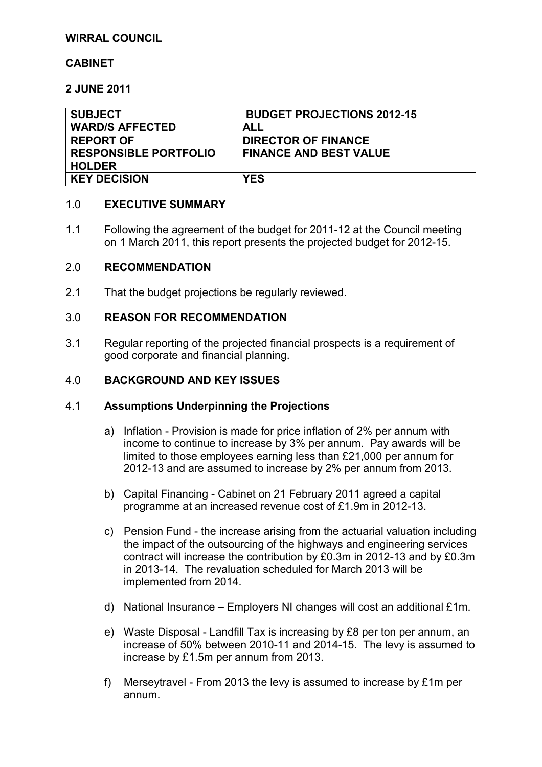### **WIRRAL COUNCIL**

# **CABINET**

## **2 JUNE 2011**

| <b>SUBJECT</b>                                | <b>BUDGET PROJECTIONS 2012-15</b> |
|-----------------------------------------------|-----------------------------------|
| <b>WARD/S AFFECTED</b>                        | ALL                               |
| <b>REPORT OF</b>                              | <b>DIRECTOR OF FINANCE</b>        |
| <b>RESPONSIBLE PORTFOLIO</b><br><b>HOLDER</b> | <b>FINANCE AND BEST VALUE</b>     |
| <b>KEY DECISION</b>                           | <b>YES</b>                        |

## 1.0 **EXECUTIVE SUMMARY**

1.1 Following the agreement of the budget for 2011-12 at the Council meeting on 1 March 2011, this report presents the projected budget for 2012-15.

### 2.0 **RECOMMENDATION**

2.1 That the budget projections be regularly reviewed.

### 3.0 **REASON FOR RECOMMENDATION**

3.1 Regular reporting of the projected financial prospects is a requirement of good corporate and financial planning.

#### 4.0 **BACKGROUND AND KEY ISSUES**

#### 4.1 **Assumptions Underpinning the Projections**

- a) Inflation Provision is made for price inflation of 2% per annum with income to continue to increase by 3% per annum. Pay awards will be limited to those employees earning less than £21,000 per annum for 2012-13 and are assumed to increase by 2% per annum from 2013.
- b) Capital Financing Cabinet on 21 February 2011 agreed a capital programme at an increased revenue cost of £1.9m in 2012-13.
- c) Pension Fund the increase arising from the actuarial valuation including the impact of the outsourcing of the highways and engineering services contract will increase the contribution by £0.3m in 2012-13 and by £0.3m in 2013-14. The revaluation scheduled for March 2013 will be implemented from 2014.
- d) National Insurance Employers NI changes will cost an additional £1m.
- e) Waste Disposal Landfill Tax is increasing by £8 per ton per annum, an increase of 50% between 2010-11 and 2014-15. The levy is assumed to increase by £1.5m per annum from 2013.
- f) Merseytravel From 2013 the levy is assumed to increase by £1m per annum.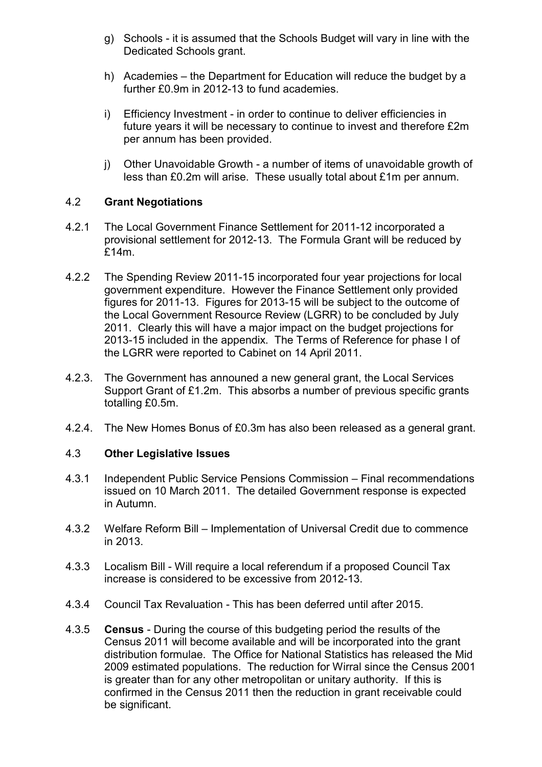- g) Schools it is assumed that the Schools Budget will vary in line with the Dedicated Schools grant.
- h) Academies the Department for Education will reduce the budget by a further £0.9m in 2012-13 to fund academies.
- i) Efficiency Investment in order to continue to deliver efficiencies in future years it will be necessary to continue to invest and therefore £2m per annum has been provided.
- j) Other Unavoidable Growth a number of items of unavoidable growth of less than £0.2m will arise. These usually total about £1m per annum.

# 4.2 **Grant Negotiations**

- 4.2.1 The Local Government Finance Settlement for 2011-12 incorporated a provisional settlement for 2012-13. The Formula Grant will be reduced by £14m.
- 4.2.2 The Spending Review 2011-15 incorporated four year projections for local government expenditure. However the Finance Settlement only provided figures for 2011-13. Figures for 2013-15 will be subject to the outcome of the Local Government Resource Review (LGRR) to be concluded by July 2011. Clearly this will have a major impact on the budget projections for 2013-15 included in the appendix. The Terms of Reference for phase I of the LGRR were reported to Cabinet on 14 April 2011.
- 4.2.3. The Government has announed a new general grant, the Local Services Support Grant of £1.2m. This absorbs a number of previous specific grants totalling £0.5m.
- 4.2.4. The New Homes Bonus of £0.3m has also been released as a general grant.

# 4.3 **Other Legislative Issues**

- 4.3.1 Independent Public Service Pensions Commission Final recommendations issued on 10 March 2011. The detailed Government response is expected in Autumn.
- 4.3.2 Welfare Reform Bill Implementation of Universal Credit due to commence in 2013.
- 4.3.3 Localism Bill Will require a local referendum if a proposed Council Tax increase is considered to be excessive from 2012-13.
- 4.3.4 Council Tax Revaluation This has been deferred until after 2015.
- 4.3.5 **Census** During the course of this budgeting period the results of the Census 2011 will become available and will be incorporated into the grant distribution formulae. The Office for National Statistics has released the Mid 2009 estimated populations. The reduction for Wirral since the Census 2001 is greater than for any other metropolitan or unitary authority. If this is confirmed in the Census 2011 then the reduction in grant receivable could be significant.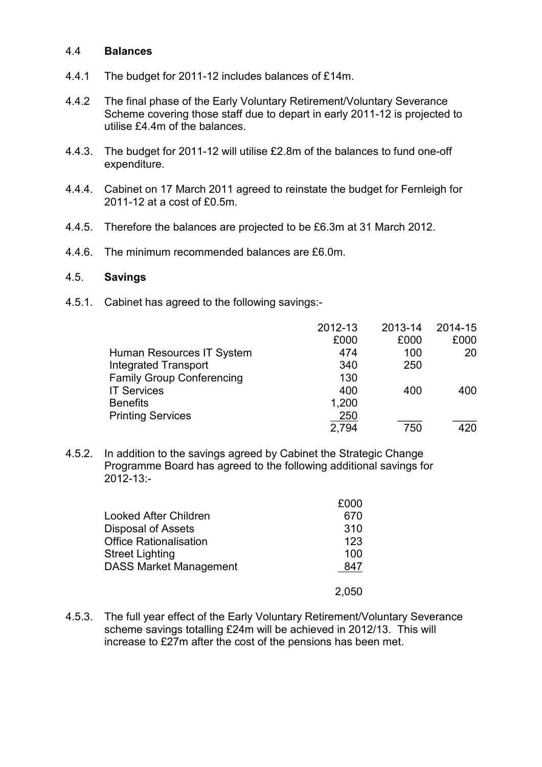#### 4.4 **Balances**

- 4.4.1 The budget for 2011-12 includes balances of £14m.
- 4.4.2 The final phase of the Early Voluntary Retirement/Voluntary Severance Scheme covering those staff due to depart in early 2011-12 is projected to utilise £4.4m of the balances.
- 4.4.3. The budget for 2011-12 will utilise £2.8m of the balances to fund one-off expenditure.
- 4.4.4. Cabinet on 17 March 2011 agreed to reinstate the budget for Fernleigh for 2011-12 at a cost of £0.5m.
- 4.4.5. Therefore the balances are projected to be £6.3m at 31 March 2012.
- 4.4.6. The minimum recommended balances are £6.0m.

#### 4.5. **Savings**

4.5.1. Cabinet has agreed to the following savings:-

|                                  | 2012-13 | 2013-14 | 2014-15 |
|----------------------------------|---------|---------|---------|
|                                  | £000    | £000    | £000    |
| Human Resources IT System        | 474     | 100     | 20      |
| <b>Integrated Transport</b>      | 340     | 250     |         |
| <b>Family Group Conferencing</b> | 130     |         |         |
| <b>IT Services</b>               | 400     | 400     | 400     |
| <b>Benefits</b>                  | 1,200   |         |         |
| <b>Printing Services</b>         | 250     |         |         |
|                                  | 2,794   | 750     | 420     |

4.5.2. In addition to the savings agreed by Cabinet the Strategic Change Programme Board has agreed to the following additional savings for 2012-13:-

|                               | £000  |
|-------------------------------|-------|
| Looked After Children         | 670   |
| <b>Disposal of Assets</b>     | 310   |
| <b>Office Rationalisation</b> | 123   |
| <b>Street Lighting</b>        | 100   |
| <b>DASS Market Management</b> | 847   |
|                               | 2,050 |

4.5.3. The full year effect of the Early Voluntary Retirement/Voluntary Severance scheme savings totalling £24m will be achieved in 2012/13. This will increase to £27m after the cost of the pensions has been met.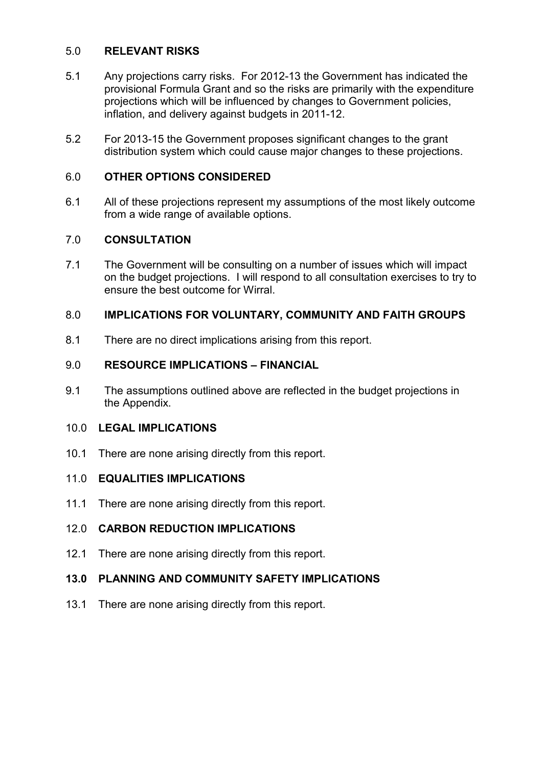# 5.0 **RELEVANT RISKS**

- 5.1 Any projections carry risks. For 2012-13 the Government has indicated the provisional Formula Grant and so the risks are primarily with the expenditure projections which will be influenced by changes to Government policies, inflation, and delivery against budgets in 2011-12.
- 5.2 For 2013-15 the Government proposes significant changes to the grant distribution system which could cause major changes to these projections.

## 6.0 **OTHER OPTIONS CONSIDERED**

6.1 All of these projections represent my assumptions of the most likely outcome from a wide range of available options.

### 7.0 **CONSULTATION**

7.1 The Government will be consulting on a number of issues which will impact on the budget projections. I will respond to all consultation exercises to try to ensure the best outcome for Wirral.

# 8.0 **IMPLICATIONS FOR VOLUNTARY, COMMUNITY AND FAITH GROUPS**

8.1 There are no direct implications arising from this report.

# 9.0 **RESOURCE IMPLICATIONS – FINANCIAL**

9.1 The assumptions outlined above are reflected in the budget projections in the Appendix.

### 10.0 **LEGAL IMPLICATIONS**

10.1 There are none arising directly from this report.

### 11.0 **EQUALITIES IMPLICATIONS**

11.1 There are none arising directly from this report.

# 12.0 **CARBON REDUCTION IMPLICATIONS**

12.1 There are none arising directly from this report.

# **13.0 PLANNING AND COMMUNITY SAFETY IMPLICATIONS**

13.1 There are none arising directly from this report.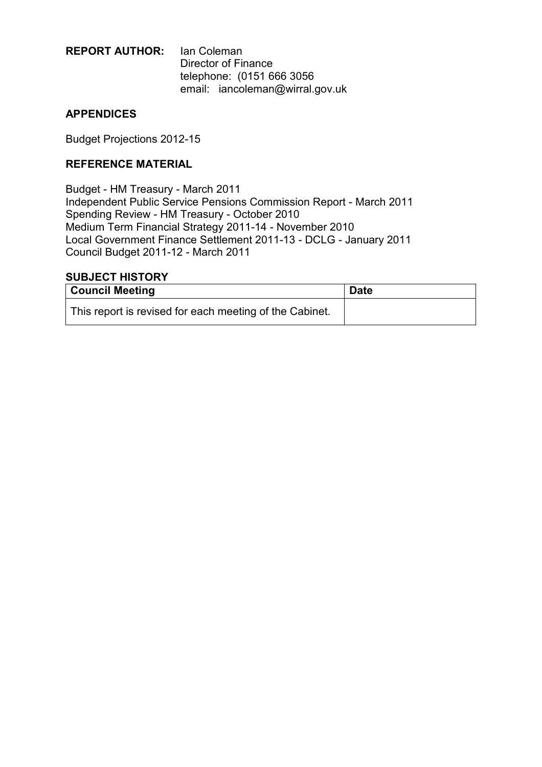# **REPORT AUTHOR:** Ian Coleman Director of Finance telephone: (0151 666 3056 email: iancoleman@wirral.gov.uk

# **APPENDICES**

Budget Projections 2012-15

# **REFERENCE MATERIAL**

Budget - HM Treasury - March 2011 Independent Public Service Pensions Commission Report - March 2011 Spending Review - HM Treasury - October 2010 Medium Term Financial Strategy 2011-14 - November 2010 Local Government Finance Settlement 2011-13 - DCLG - January 2011 Council Budget 2011-12 - March 2011

#### **SUBJECT HISTORY**

| <b>Council Meeting</b>                                  | <b>Date</b> |
|---------------------------------------------------------|-------------|
| This report is revised for each meeting of the Cabinet. |             |